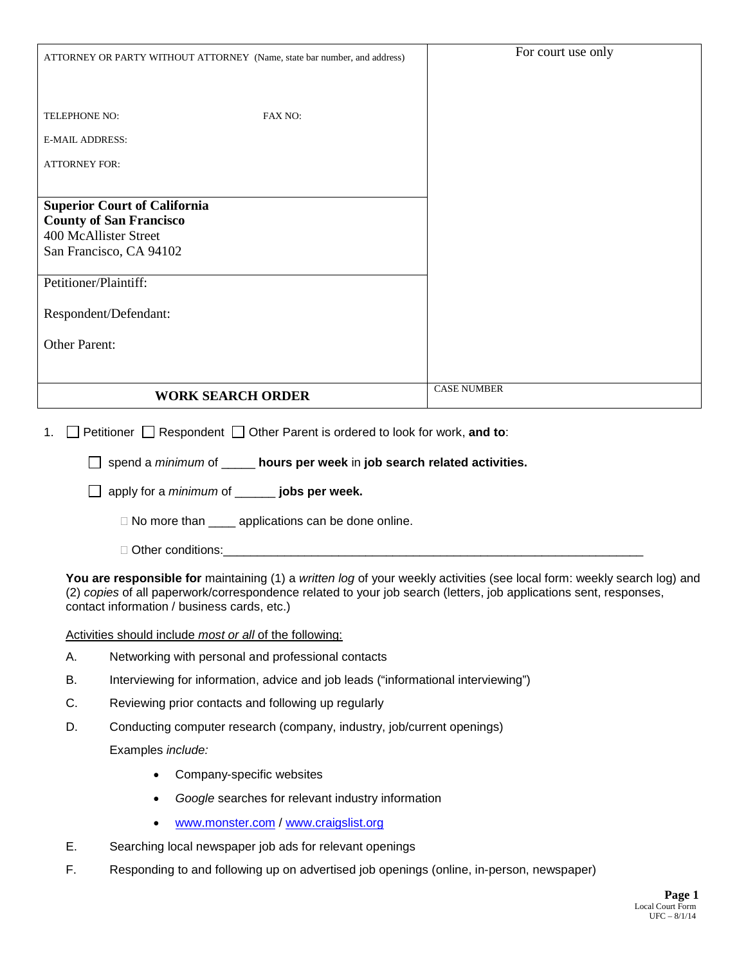|                        |                                                                                                                                                                                                                                                                                             | For court use only                |  |  |  |
|------------------------|---------------------------------------------------------------------------------------------------------------------------------------------------------------------------------------------------------------------------------------------------------------------------------------------|-----------------------------------|--|--|--|
|                        | ATTORNEY OR PARTY WITHOUT ATTORNEY (Name, state bar number, and address)                                                                                                                                                                                                                    |                                   |  |  |  |
|                        |                                                                                                                                                                                                                                                                                             |                                   |  |  |  |
| TELEPHONE NO:          | FAX NO:                                                                                                                                                                                                                                                                                     |                                   |  |  |  |
| <b>E-MAIL ADDRESS:</b> |                                                                                                                                                                                                                                                                                             |                                   |  |  |  |
| <b>ATTORNEY FOR:</b>   |                                                                                                                                                                                                                                                                                             |                                   |  |  |  |
|                        |                                                                                                                                                                                                                                                                                             |                                   |  |  |  |
|                        | <b>Superior Court of California</b><br><b>County of San Francisco</b>                                                                                                                                                                                                                       |                                   |  |  |  |
|                        | 400 McAllister Street                                                                                                                                                                                                                                                                       |                                   |  |  |  |
|                        | San Francisco, CA 94102                                                                                                                                                                                                                                                                     |                                   |  |  |  |
| Petitioner/Plaintiff:  |                                                                                                                                                                                                                                                                                             |                                   |  |  |  |
|                        | Respondent/Defendant:                                                                                                                                                                                                                                                                       |                                   |  |  |  |
|                        |                                                                                                                                                                                                                                                                                             |                                   |  |  |  |
| <b>Other Parent:</b>   |                                                                                                                                                                                                                                                                                             |                                   |  |  |  |
|                        |                                                                                                                                                                                                                                                                                             |                                   |  |  |  |
|                        | <b>WORK SEARCH ORDER</b>                                                                                                                                                                                                                                                                    | <b>CASE NUMBER</b>                |  |  |  |
| 1.                     | Petitioner $\Box$ Respondent $\Box$ Other Parent is ordered to look for work, and to:                                                                                                                                                                                                       |                                   |  |  |  |
|                        | spend a minimum of _____ hours per week in job search related activities.                                                                                                                                                                                                                   |                                   |  |  |  |
|                        | apply for a <i>minimum</i> of ______ jobs per week.                                                                                                                                                                                                                                         |                                   |  |  |  |
|                        | □ No more than _____ applications can be done online.                                                                                                                                                                                                                                       |                                   |  |  |  |
|                        | □ Other conditions:                                                                                                                                                                                                                                                                         |                                   |  |  |  |
|                        | You are responsible for maintaining (1) a written log of your weekly activities (see local form: weekly search log) and<br>(2) copies of all paperwork/correspondence related to your job search (letters, job applications sent, responses,<br>contact information / business cards, etc.) |                                   |  |  |  |
|                        | Activities should include most or all of the following:                                                                                                                                                                                                                                     |                                   |  |  |  |
| А.                     | Networking with personal and professional contacts                                                                                                                                                                                                                                          |                                   |  |  |  |
| В.                     | Interviewing for information, advice and job leads ("informational interviewing")                                                                                                                                                                                                           |                                   |  |  |  |
| C.                     | Reviewing prior contacts and following up regularly                                                                                                                                                                                                                                         |                                   |  |  |  |
| D.                     | Conducting computer research (company, industry, job/current openings)                                                                                                                                                                                                                      |                                   |  |  |  |
|                        | Examples include:                                                                                                                                                                                                                                                                           |                                   |  |  |  |
|                        | Company-specific websites<br>$\bullet$                                                                                                                                                                                                                                                      |                                   |  |  |  |
|                        | Google searches for relevant industry information<br>$\bullet$                                                                                                                                                                                                                              |                                   |  |  |  |
|                        | www.monster.com / www.craigslist.org                                                                                                                                                                                                                                                        |                                   |  |  |  |
| Ε.                     | Searching local newspaper job ads for relevant openings                                                                                                                                                                                                                                     |                                   |  |  |  |
| F.                     | Responding to and following up on advertised job openings (online, in-person, newspaper)                                                                                                                                                                                                    |                                   |  |  |  |
|                        |                                                                                                                                                                                                                                                                                             | Page 1<br><b>Local Court Form</b> |  |  |  |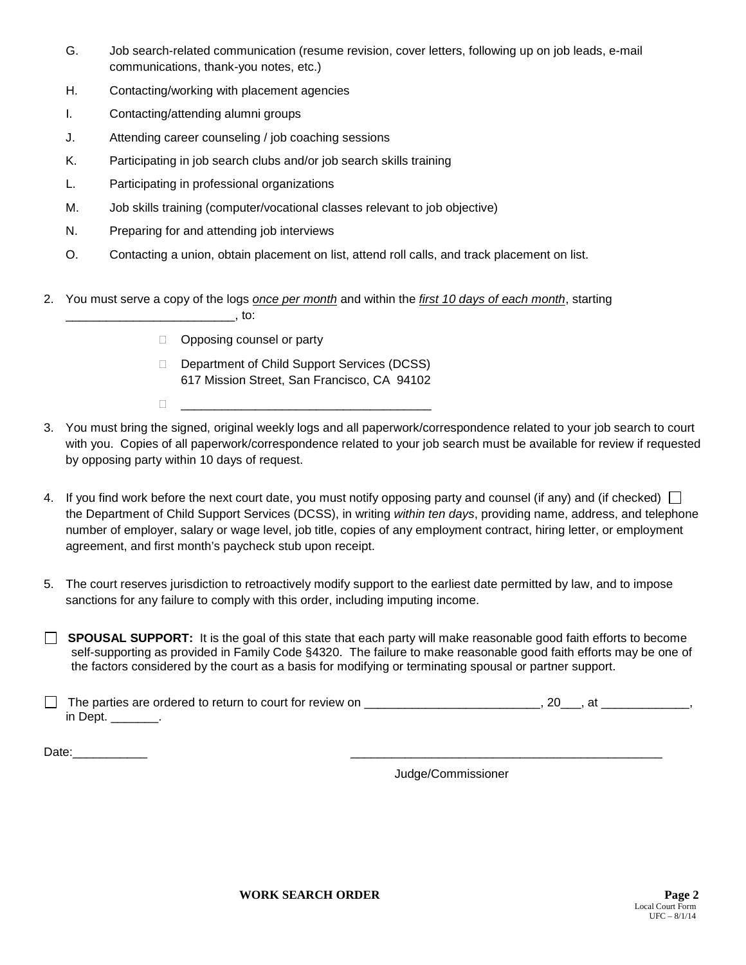- G. Job search-related communication (resume revision, cover letters, following up on job leads, e-mail communications, thank-you notes, etc.)
- H. Contacting/working with placement agencies
- I. Contacting/attending alumni groups
- J. Attending career counseling / job coaching sessions
- K. Participating in job search clubs and/or job search skills training
- L. Participating in professional organizations
- M. Job skills training (computer/vocational classes relevant to job objective)
- N. Preparing for and attending job interviews
- O. Contacting a union, obtain placement on list, attend roll calls, and track placement on list.
- 2. You must serve a copy of the logs *once per month* and within the *first 10 days of each month*, starting

|--|--|

- □ Opposing counsel or party
- Department of Child Support Services (DCSS) 617 Mission Street, San Francisco, CA 94102
- $\Box$
- 3. You must bring the signed, original weekly logs and all paperwork/correspondence related to your job search to court with you. Copies of all paperwork/correspondence related to your job search must be available for review if requested by opposing party within 10 days of request.
- 4. If you find work before the next court date, you must notify opposing party and counsel (if any) and (if checked)  $\Box$ the Department of Child Support Services (DCSS), in writing *within ten days*, providing name, address, and telephone number of employer, salary or wage level, job title, copies of any employment contract, hiring letter, or employment agreement, and first month's paycheck stub upon receipt.
- 5. The court reserves jurisdiction to retroactively modify support to the earliest date permitted by law, and to impose sanctions for any failure to comply with this order, including imputing income.

**SPOUSAL SUPPORT:** It is the goal of this state that each party will make reasonable good faith efforts to become self-supporting as provided in Family Code §4320. The failure to make reasonable good faith efforts may be one of the factors considered by the court as a basis for modifying or terminating spousal or partner support.

 $\Box$  The parties are ordered to return to court for review on \_\_\_\_\_\_\_\_\_\_\_\_\_\_\_\_\_\_\_\_\_\_\_\_, 20\_\_\_, at \_\_\_\_\_\_\_\_\_\_\_\_\_, in Dept. **.** 

 $Date:$ 

Judge/Commissioner